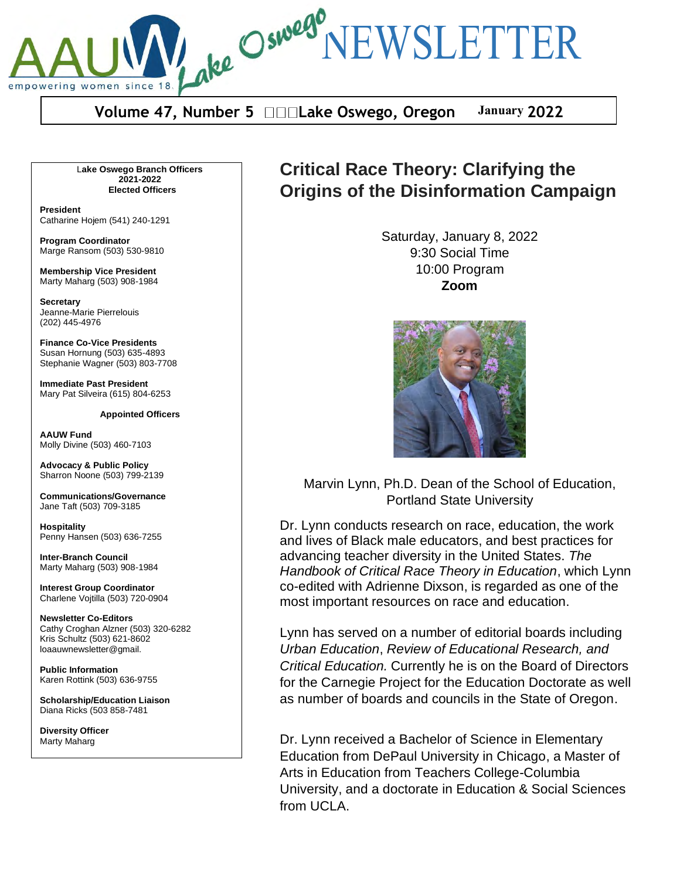**Volume 47, Number 5 Lake Oswego, Oregon January 2022** 

ake Osweg NEWSLETTER

L**ake Oswego Branch Officers 2021-2022 Elected Officers**

**President** Catharine Hojem (541) 240-1291

empowering women since

**Program Coordinator** Marge Ransom (503) 530-9810

**Membership Vice President** Marty Maharg (503) 908-1984

**Secretary** Jeanne-Marie Pierrelouis (202) 445-4976

**Finance Co-Vice Presidents** Susan Hornung (503) 635-4893 Stephanie Wagner (503) 803-7708

**Immediate Past President** Mary Pat Silveira (615) 804-6253

**Appointed Officers**

**AAUW Fund** Molly Divine (503) 460-7103

**Advocacy & Public Policy** Sharron Noone (503) 799-2139

**Communications/Governance** Jane Taft (503) 709-3185

**Hospitality** Penny Hansen (503) 636-7255

**Inter-Branch Council** Marty Maharg (503) 908-1984

**Interest Group Coordinator** Charlene Vojtilla (503) 720-0904

**Newsletter Co-Editors** Cathy Croghan Alzner (503) 320-6282 Kris Schultz (503) 621-8602 loaauwnewsletter@gmail.

**Public Information** Karen Rottink (503) 636-9755

**Scholarship/Education Liaison**  Diana Ricks (503 858-7481

**Diversity Officer** Marty Maharg

# **Critical Race Theory: Clarifying the Origins of the Disinformation Campaign**

Saturday, January 8, 2022 9:30 Social Time 10:00 Program **Zoom**



Marvin Lynn, Ph.D. Dean of the School of Education, Portland State University

Dr. Lynn conducts research on race, education, the work and lives of Black male educators, and best practices for advancing teacher diversity in the United States. *The Handbook of Critical Race Theory in Education*, which Lynn co-edited with Adrienne Dixson, is regarded as one of the most important resources on race and education.

Lynn has served on a number of editorial boards including *Urban Education*, *Review of Educational Research, and Critical Education.* Currently he is on the Board of Directors for the Carnegie Project for the Education Doctorate as well as number of boards and councils in the State of Oregon.

Dr. Lynn received a Bachelor of Science in Elementary Education from DePaul University in Chicago, a Master of Arts in Education from Teachers College-Columbia University, and a doctorate in Education & Social Sciences from UCLA.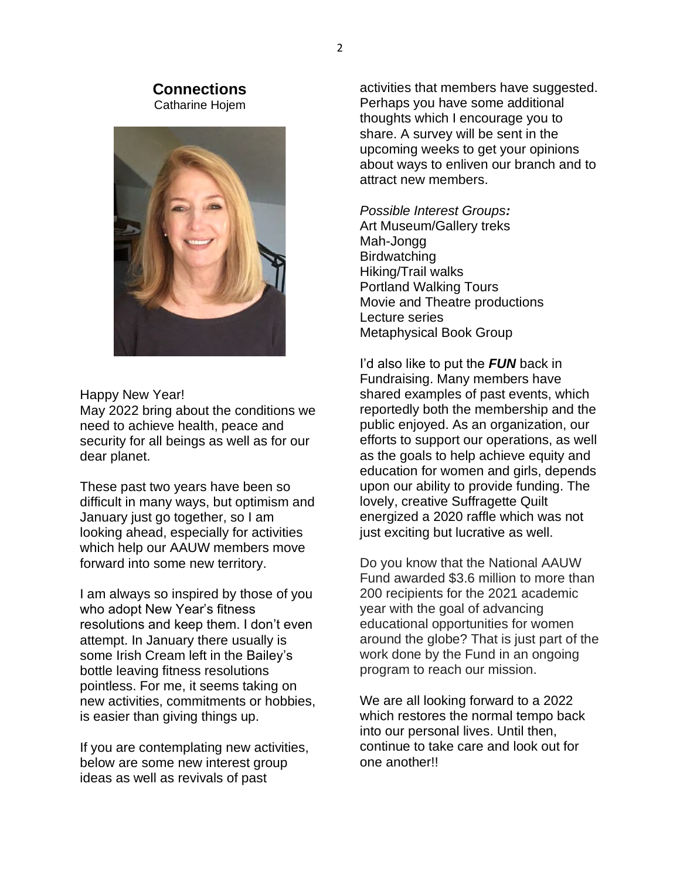### **Connections** Catharine Hojem



Happy New Year!

May 2022 bring about the conditions we need to achieve health, peace and security for all beings as well as for our dear planet.

These past two years have been so difficult in many ways, but optimism and January just go together, so I am looking ahead, especially for activities which help our AAUW members move forward into some new territory.

I am always so inspired by those of you who adopt New Year's fitness resolutions and keep them. I don't even attempt. In January there usually is some Irish Cream left in the Bailey's bottle leaving fitness resolutions pointless. For me, it seems taking on new activities, commitments or hobbies, is easier than giving things up.

If you are contemplating new activities, below are some new interest group ideas as well as revivals of past

activities that members have suggested. Perhaps you have some additional thoughts which I encourage you to share. A survey will be sent in the upcoming weeks to get your opinions about ways to enliven our branch and to attract new members.

*Possible Interest Groups:* Art Museum/Gallery treks Mah-Jongg **Birdwatching** Hiking/Trail walks Portland Walking Tours Movie and Theatre productions Lecture series Metaphysical Book Group

I'd also like to put the **FUN** back in Fundraising. Many members have shared examples of past events, which reportedly both the membership and the public enjoyed. As an organization, our efforts to support our operations, as well as the goals to help achieve equity and education for women and girls, depends upon our ability to provide funding. The lovely, creative Suffragette Quilt energized a 2020 raffle which was not just exciting but lucrative as well.

Do you know that the National AAUW Fund awarded \$3.6 million to more than 200 recipients for the 2021 academic year with the goal of advancing educational opportunities for women around the globe? That is just part of the work done by the Fund in an ongoing program to reach our mission.

We are all looking forward to a 2022 which restores the normal tempo back into our personal lives. Until then, continue to take care and look out for one another!!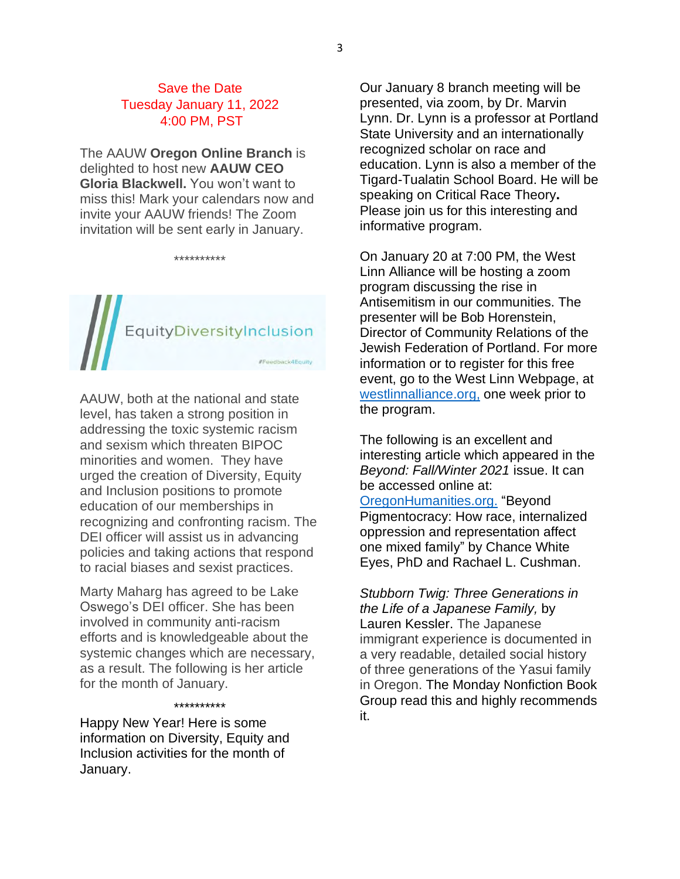### Save the Date Tuesday January 11, 2022 4:00 PM, PST

The AAUW **Oregon Online Branch** is delighted to host new **AAUW CEO Gloria Blackwell.** You won't want to miss this! Mark your calendars now and invite your AAUW friends! The Zoom invitation will be sent early in January.

\*\*\*\*\*\*\*\*\*\*

# EquityDiversityInclusion

AAUW, both at the national and state level, has taken a strong position in addressing the toxic systemic racism and sexism which threaten BIPOC minorities and women. They have urged the creation of Diversity, Equity and Inclusion positions to promote education of our memberships in recognizing and confronting racism. The DEI officer will assist us in advancing policies and taking actions that respond to racial biases and sexist practices.

Marty Maharg has agreed to be Lake Oswego's DEI officer. She has been involved in community anti-racism efforts and is knowledgeable about the systemic changes which are necessary, as a result. The following is her article for the month of January.

### \*\*\*\*\*\*\*\*\*\*

Happy New Year! Here is some information on Diversity, Equity and Inclusion activities for the month of January.

Our January 8 branch meeting will be presented, via zoom, by Dr. Marvin Lynn. Dr. Lynn is a professor at Portland State University and an internationally recognized scholar on race and education. Lynn is also a member of the Tigard-Tualatin School Board. He will be speaking on Critical Race Theory. Please join us for this interesting and informative program.

On January 20 at 7:00 PM, the West Linn Alliance will be hosting a zoom program discussing the rise in Antisemitism in our communities. The presenter will be Bob Horenstein, Director of Community Relations of the Jewish Federation of Portland. For more information or to register for this free event, go to the West Linn Webpage, at westlinnalliance.org, one week prior to the program.

The following is an excellent and interesting article which appeared in the *Beyond: Fall/Winter 2021* issue. It can be accessed online at:

OregonHumanities.org. "Beyond Pigmentocracy: How race, internalized oppression and representation affect one mixed family" by Chance White Eyes, PhD and Rachael L. Cushman.

*Stubborn Twig: Three Generations in the Life of a Japanese Family,* by Lauren Kessler. The Japanese immigrant experience is documented in a very readable, detailed social history of three generations of the Yasui family in Oregon. The Monday Nonfiction Book Group read this and highly recommends it.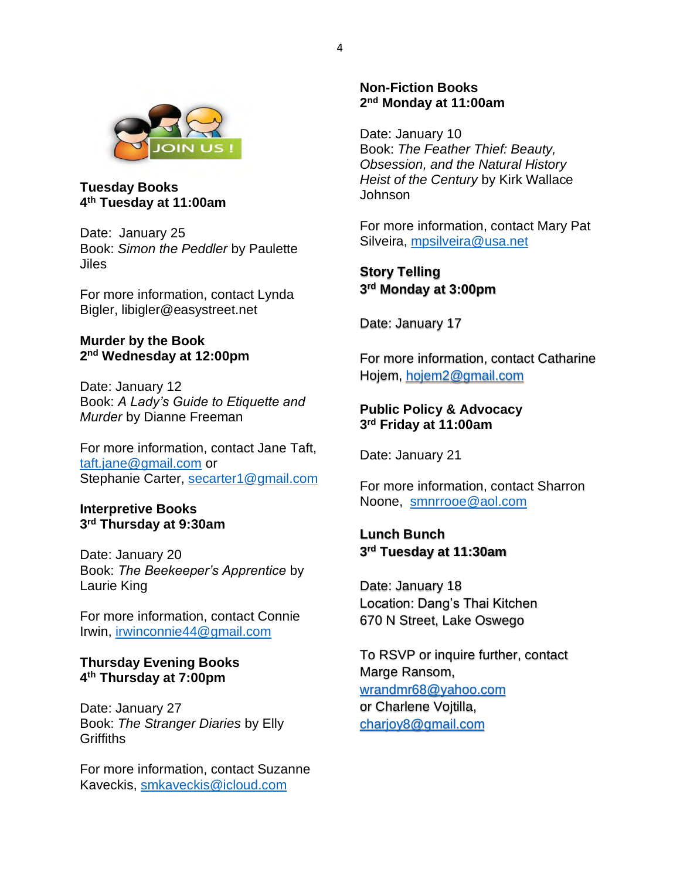

**Tuesday Books 4th Tuesday at 11:00am**

Date: January 25 Book: *Simon the Peddler* by Paulette Jiles

For more information, contact Lynda Bigler, libigler@easystreet.net

### **Murder by the Book 2nd Wednesday at 12:00pm**

Date: January 12 Book: A Lady's Guide to Etiquette and *Murder* by Dianne Freeman

For more information, contact Jane Taft, taft.jane@gmail.com or Stephanie Carter, secarter1@gmail.com

### **Interpretive Books 3rd Thursday at 9:30am**

Date: January 20 Book: The Beekeeper's Apprentice by Laurie King

For more information, contact Connie Irwin, irwinconnie44@gmail.com

### **Thursday Evening Books 4th Thursday at 7:00pm**

Date: January 27 Book: *The Stranger Diaries* by Elly **Griffiths** 

For more information, contact Suzanne Kaveckis, smkaveckis@icloud.com

### **Non-Fiction Books 2nd Monday at 11:00am**

Date: January 10 Book: *The Feather Thief: Beauty, Obsession, and the Natural History Heist of the Century* by Kirk Wallace Johnson

For more information, contact Mary Pat Silveira, mpsilveira@usa.net

**Story Telling 3rd Monday at 3:00pm**

Date: January 17

For more information, contact Catharine Hojem, hojem2@gmail.com

### **Public Policy & Advocacy 3rd Friday at 11:00am**

Date: January 21

For more information, contact Sharron Noone, smnrrooe@aol.com

## **Lunch Bunch 3rd Tuesday at 11:30am**

Date: January 18 Location: Dang's Thai Kitchen 670 N Street, Lake Oswego

To RSVP or inquire further, contact Marge Ransom, wrandmr68@yahoo.com or Charlene Vojtilla, charjoy8@gmail.com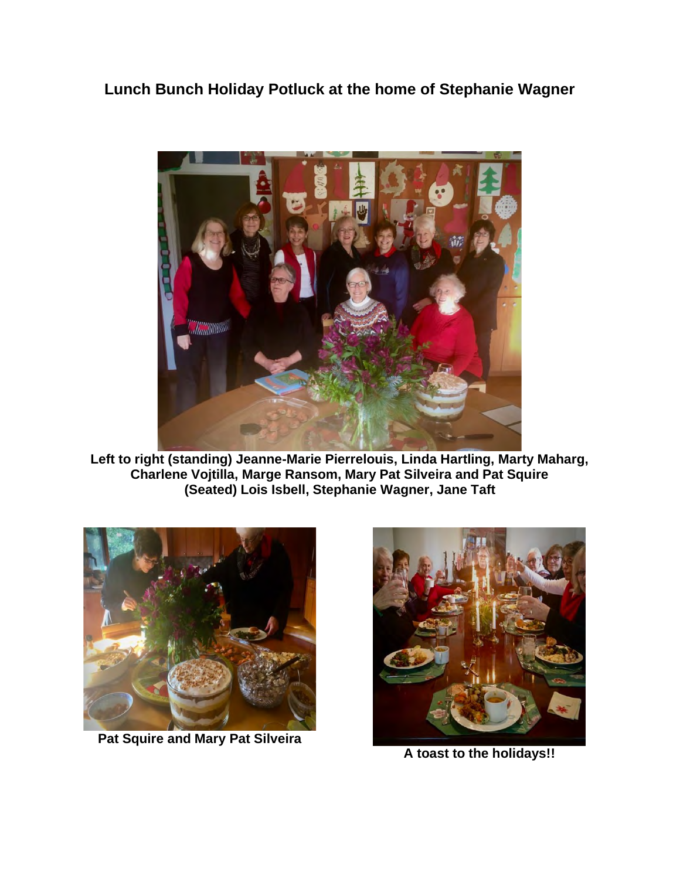**Lunch Bunch Holiday Potluck at the home of Stephanie Wagner**



**Left to right (standing) Jeanne-Marie Pierrelouis, Linda Hartling, Marty Maharg, Charlene Vojtilla, Marge Ransom, Mary Pat Silveira and Pat Squire (Seated) Lois Isbell, Stephanie Wagner, Jane Taft**



**Pat Squire and Mary Pat Silveira**



**A toast to the holidays!!**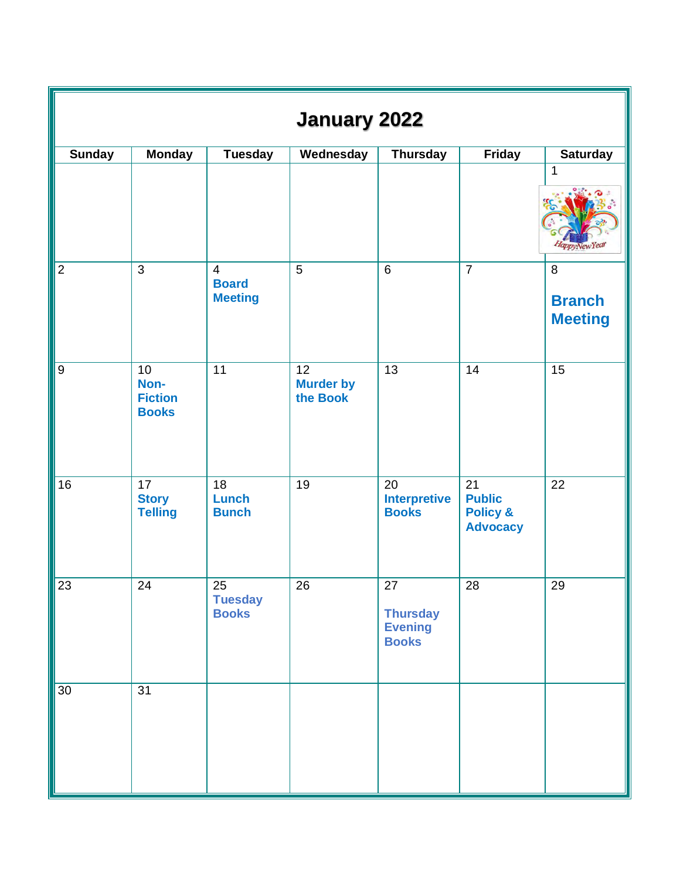| <b>January 2022</b> |                                              |                                                  |                                    |                                                         |                                                               |                                      |  |  |  |  |
|---------------------|----------------------------------------------|--------------------------------------------------|------------------------------------|---------------------------------------------------------|---------------------------------------------------------------|--------------------------------------|--|--|--|--|
| <b>Sunday</b>       | <b>Monday</b>                                | <b>Tuesday</b>                                   | Wednesday                          | <b>Thursday</b>                                         | Friday                                                        | <b>Saturday</b>                      |  |  |  |  |
|                     |                                              |                                                  |                                    |                                                         |                                                               | 1<br><i><b>ppvNewYed</b></i>         |  |  |  |  |
| $\overline{2}$      | $\mathfrak{S}$                               | $\overline{4}$<br><b>Board</b><br><b>Meeting</b> | 5                                  | $6\phantom{1}$                                          | $\overline{7}$                                                | 8<br><b>Branch</b><br><b>Meeting</b> |  |  |  |  |
| $\boldsymbol{9}$    | 10<br>Non-<br><b>Fiction</b><br><b>Books</b> | 11                                               | 12<br><b>Murder by</b><br>the Book | 13                                                      | 14                                                            | 15                                   |  |  |  |  |
| 16                  | 17<br><b>Story</b><br><b>Telling</b>         | 18<br><b>Lunch</b><br><b>Bunch</b>               | 19                                 | 20<br><b>Interpretive</b><br><b>Books</b>               | 21<br><b>Public</b><br><b>Policy &amp;</b><br><b>Advocacy</b> | 22                                   |  |  |  |  |
| 23                  | 24                                           | 25<br><b>Tuesday</b><br><b>Books</b>             | 26                                 | 27<br><b>Thursday</b><br><b>Evening</b><br><b>Books</b> | 28                                                            | 29                                   |  |  |  |  |
| $\overline{30}$     | $\overline{31}$                              |                                                  |                                    |                                                         |                                                               |                                      |  |  |  |  |